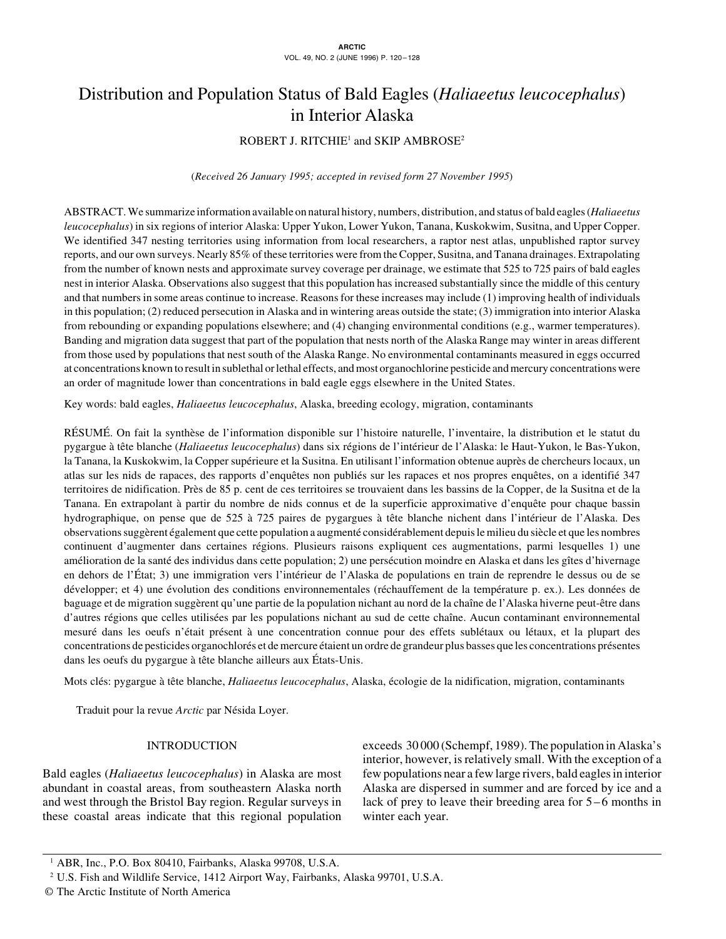# Distribution and Population Status of Bald Eagles (*Haliaeetus leucocephalus*) in Interior Alaska

# $\mathsf{ROBERT\ J\$ .\ RITCHIE^1\ and\ SKIP\ AMBROSE^2}

(*Received 26 January 1995; accepted in revised form 27 November 1995*)

ABSTRACT. We summarize information available on natural history, numbers, distribution, and status of bald eagles (*Haliaeetus leucocephalus*) in six regions of interior Alaska: Upper Yukon, Lower Yukon, Tanana, Kuskokwim, Susitna, and Upper Copper. We identified 347 nesting territories using information from local researchers, a raptor nest atlas, unpublished raptor survey reports, and our own surveys. Nearly 85% of these territories were from the Copper, Susitna, and Tanana drainages. Extrapolating from the number of known nests and approximate survey coverage per drainage, we estimate that 525 to 725 pairs of bald eagles nest in interior Alaska. Observations also suggest that this population has increased substantially since the middle of this century and that numbers in some areas continue to increase. Reasons for these increases may include (1) improving health of individuals in this population; (2) reduced persecution in Alaska and in wintering areas outside the state; (3) immigration into interior Alaska from rebounding or expanding populations elsewhere; and (4) changing environmental conditions (e.g., warmer temperatures). Banding and migration data suggest that part of the population that nests north of the Alaska Range may winter in areas different from those used by populations that nest south of the Alaska Range. No environmental contaminants measured in eggs occurred at concentrations known to result in sublethal or lethal effects, and most organochlorine pesticide and mercury concentrations were an order of magnitude lower than concentrations in bald eagle eggs elsewhere in the United States.

Key words: bald eagles, *Haliaeetus leucocephalus*, Alaska, breeding ecology, migration, contaminants

RÉSUMÉ. On fait la synthèse de l'information disponible sur l'histoire naturelle, l'inventaire, la distribution et le statut du pygargue à tête blanche (*Haliaeetus leucocephalus*) dans six régions de l'intérieur de l'Alaska: le Haut-Yukon, le Bas-Yukon, la Tanana, la Kuskokwim, la Copper supérieure et la Susitna. En utilisant l'information obtenue auprès de chercheurs locaux, un atlas sur les nids de rapaces, des rapports d'enquêtes non publiés sur les rapaces et nos propres enquêtes, on a identifié 347 territoires de nidification. Près de 85 p. cent de ces territoires se trouvaient dans les bassins de la Copper, de la Susitna et de la Tanana. En extrapolant à partir du nombre de nids connus et de la superficie approximative d'enquête pour chaque bassin hydrographique, on pense que de 525 à 725 paires de pygargues à tête blanche nichent dans l'intérieur de l'Alaska. Des observations suggèrent également que cette population a augmenté considérablement depuis le milieu du siècle et que les nombres continuent d'augmenter dans certaines régions. Plusieurs raisons expliquent ces augmentations, parmi lesquelles 1) une amélioration de la santé des individus dans cette population; 2) une persécution moindre en Alaska et dans les gîtes d'hivernage en dehors de l'État; 3) une immigration vers l'intérieur de l'Alaska de populations en train de reprendre le dessus ou de se développer; et 4) une évolution des conditions environnementales (réchauffement de la température p. ex.). Les données de baguage et de migration suggèrent qu'une partie de la population nichant au nord de la chaîne de l'Alaska hiverne peut-être dans d'autres régions que celles utilisées par les populations nichant au sud de cette chaîne. Aucun contaminant environnemental mesuré dans les oeufs n'était présent à une concentration connue pour des effets sublétaux ou létaux, et la plupart des concentrations de pesticides organochlorés et de mercure étaient un ordre de grandeur plus basses que les concentrations présentes dans les oeufs du pygargue à tête blanche ailleurs aux États-Unis.

Mots clés: pygargue à tête blanche, *Haliaeetus leucocephalus*, Alaska, écologie de la nidification, migration, contaminants

Traduit pour la revue *Arctic* par Nésida Loyer.

# INTRODUCTION

Bald eagles (*Haliaeetus leucocephalus*) in Alaska are most abundant in coastal areas, from southeastern Alaska north and west through the Bristol Bay region. Regular surveys in these coastal areas indicate that this regional population exceeds 30 000 (Schempf, 1989). The population in Alaska's interior, however, is relatively small. With the exception of a few populations near a few large rivers, bald eagles in interior Alaska are dispersed in summer and are forced by ice and a lack of prey to leave their breeding area for  $5-6$  months in winter each year.

<sup>&</sup>lt;sup>1</sup> ABR, Inc., P.O. Box 80410, Fairbanks, Alaska 99708, U.S.A.

<sup>2</sup> U.S. Fish and Wildlife Service, 1412 Airport Way, Fairbanks, Alaska 99701, U.S.A.

<sup>©</sup> The Arctic Institute of North America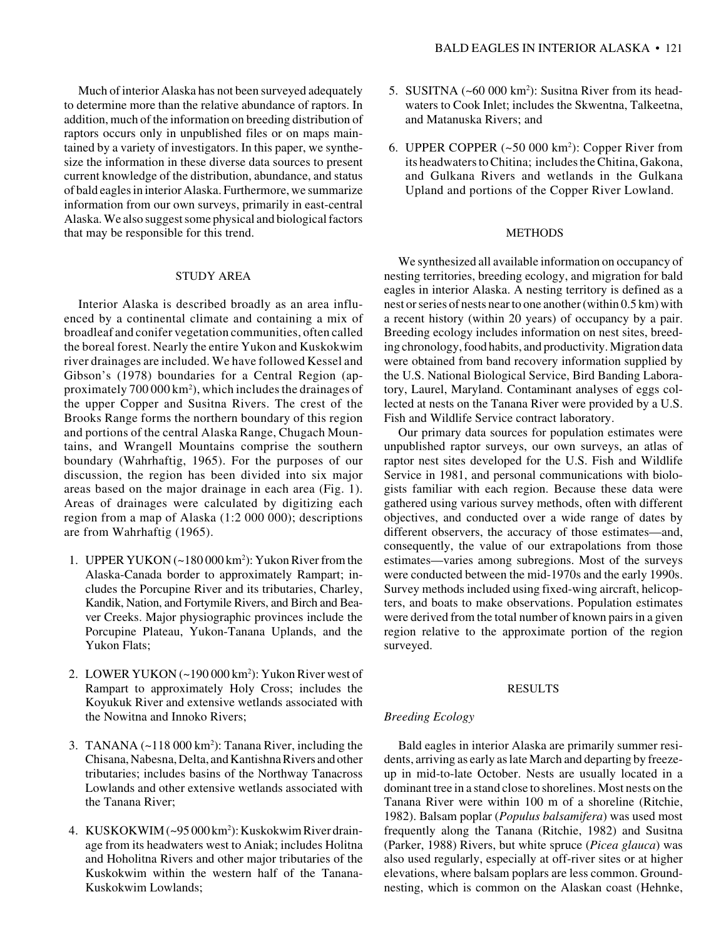Much of interior Alaska has not been surveyed adequately to determine more than the relative abundance of raptors. In addition, much of the information on breeding distribution of raptors occurs only in unpublished files or on maps maintained by a variety of investigators. In this paper, we synthesize the information in these diverse data sources to present current knowledge of the distribution, abundance, and status of bald eagles in interior Alaska. Furthermore, we summarize information from our own surveys, primarily in east-central Alaska. We also suggest some physical and biological factors that may be responsible for this trend.

## STUDY AREA

Interior Alaska is described broadly as an area influenced by a continental climate and containing a mix of broadleaf and conifer vegetation communities, often called the boreal forest. Nearly the entire Yukon and Kuskokwim river drainages are included. We have followed Kessel and Gibson's (1978) boundaries for a Central Region (approximately 700 000 km2 ), which includes the drainages of the upper Copper and Susitna Rivers. The crest of the Brooks Range forms the northern boundary of this region and portions of the central Alaska Range, Chugach Mountains, and Wrangell Mountains comprise the southern boundary (Wahrhaftig, 1965). For the purposes of our discussion, the region has been divided into six major areas based on the major drainage in each area (Fig. 1). Areas of drainages were calculated by digitizing each region from a map of Alaska (1:2 000 000); descriptions are from Wahrhaftig (1965).

- 1. UPPER YUKON (~180 000 km2 ): Yukon River from the Alaska-Canada border to approximately Rampart; includes the Porcupine River and its tributaries, Charley, Kandik, Nation, and Fortymile Rivers, and Birch and Beaver Creeks. Major physiographic provinces include the Porcupine Plateau, Yukon-Tanana Uplands, and the Yukon Flats;
- 2. LOWER YUKON (~190 000 km2 ): Yukon River west of Rampart to approximately Holy Cross; includes the Koyukuk River and extensive wetlands associated with the Nowitna and Innoko Rivers;
- 3. TANANA  $(-118000 \text{ km}^2)$ : Tanana River, including the Chisana, Nabesna, Delta, and Kantishna Rivers and other tributaries; includes basins of the Northway Tanacross Lowlands and other extensive wetlands associated with the Tanana River;
- 4. KUSKOKWIM (~95 000 km2 ): Kuskokwim River drainage from its headwaters west to Aniak; includes Holitna and Hoholitna Rivers and other major tributaries of the Kuskokwim within the western half of the Tanana-Kuskokwim Lowlands;
- 5. SUSITNA (~60 000 km2 ): Susitna River from its headwaters to Cook Inlet; includes the Skwentna, Talkeetna, and Matanuska Rivers; and
- 6. UPPER COPPER  $(-50000 \text{ km}^2)$ : Copper River from its headwaters to Chitina; includes the Chitina, Gakona, and Gulkana Rivers and wetlands in the Gulkana Upland and portions of the Copper River Lowland.

#### METHODS

We synthesized all available information on occupancy of nesting territories, breeding ecology, and migration for bald eagles in interior Alaska. A nesting territory is defined as a nest or series of nests near to one another (within 0.5 km) with a recent history (within 20 years) of occupancy by a pair. Breeding ecology includes information on nest sites, breeding chronology, food habits, and productivity. Migration data were obtained from band recovery information supplied by the U.S. National Biological Service, Bird Banding Laboratory, Laurel, Maryland. Contaminant analyses of eggs collected at nests on the Tanana River were provided by a U.S. Fish and Wildlife Service contract laboratory.

Our primary data sources for population estimates were unpublished raptor surveys, our own surveys, an atlas of raptor nest sites developed for the U.S. Fish and Wildlife Service in 1981, and personal communications with biologists familiar with each region. Because these data were gathered using various survey methods, often with different objectives, and conducted over a wide range of dates by different observers, the accuracy of those estimates—and, consequently, the value of our extrapolations from those estimates—varies among subregions. Most of the surveys were conducted between the mid-1970s and the early 1990s. Survey methods included using fixed-wing aircraft, helicopters, and boats to make observations. Population estimates were derived from the total number of known pairs in a given region relative to the approximate portion of the region surveyed.

#### RESULTS

## *Breeding Ecology*

Bald eagles in interior Alaska are primarily summer residents, arriving as early as late March and departing by freezeup in mid-to-late October. Nests are usually located in a dominant tree in a stand close to shorelines. Most nests on the Tanana River were within 100 m of a shoreline (Ritchie, 1982). Balsam poplar (*Populus balsamifera*) was used most frequently along the Tanana (Ritchie, 1982) and Susitna (Parker, 1988) Rivers, but white spruce (*Picea glauca*) was also used regularly, especially at off-river sites or at higher elevations, where balsam poplars are less common. Groundnesting, which is common on the Alaskan coast (Hehnke,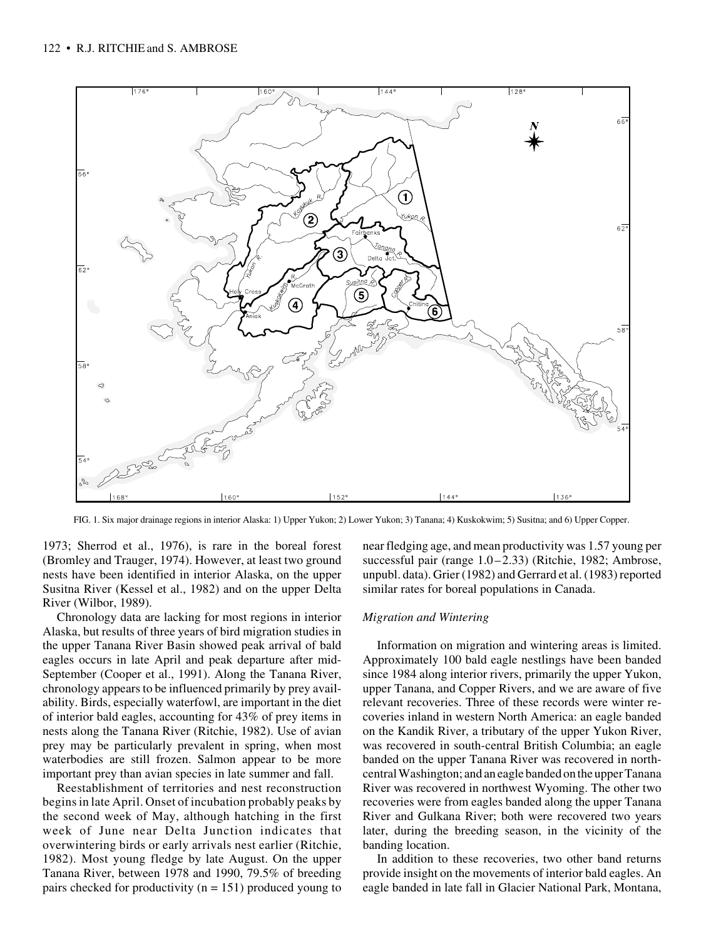

FIG. 1. Six major drainage regions in interior Alaska: 1) Upper Yukon; 2) Lower Yukon; 3) Tanana; 4) Kuskokwim; 5) Susitna; and 6) Upper Copper.

1973; Sherrod et al., 1976), is rare in the boreal forest (Bromley and Trauger, 1974). However, at least two ground nests have been identified in interior Alaska, on the upper Susitna River (Kessel et al., 1982) and on the upper Delta River (Wilbor, 1989).

Chronology data are lacking for most regions in interior Alaska, but results of three years of bird migration studies in the upper Tanana River Basin showed peak arrival of bald eagles occurs in late April and peak departure after mid-September (Cooper et al., 1991). Along the Tanana River, chronology appears to be influenced primarily by prey availability. Birds, especially waterfowl, are important in the diet of interior bald eagles, accounting for 43% of prey items in nests along the Tanana River (Ritchie, 1982). Use of avian prey may be particularly prevalent in spring, when most waterbodies are still frozen. Salmon appear to be more important prey than avian species in late summer and fall.

Reestablishment of territories and nest reconstruction begins in late April. Onset of incubation probably peaks by the second week of May, although hatching in the first week of June near Delta Junction indicates that overwintering birds or early arrivals nest earlier (Ritchie, 1982). Most young fledge by late August. On the upper Tanana River, between 1978 and 1990, 79.5% of breeding pairs checked for productivity ( $n = 151$ ) produced young to near fledging age, and mean productivity was 1.57 young per successful pair (range 1.0–2.33) (Ritchie, 1982; Ambrose, unpubl. data). Grier (1982) and Gerrard et al. (1983) reported similar rates for boreal populations in Canada.

#### *Migration and Wintering*

Information on migration and wintering areas is limited. Approximately 100 bald eagle nestlings have been banded since 1984 along interior rivers, primarily the upper Yukon, upper Tanana, and Copper Rivers, and we are aware of five relevant recoveries. Three of these records were winter recoveries inland in western North America: an eagle banded on the Kandik River, a tributary of the upper Yukon River, was recovered in south-central British Columbia; an eagle banded on the upper Tanana River was recovered in northcentral Washington; and an eagle banded on the upper Tanana River was recovered in northwest Wyoming. The other two recoveries were from eagles banded along the upper Tanana River and Gulkana River; both were recovered two years later, during the breeding season, in the vicinity of the banding location.

In addition to these recoveries, two other band returns provide insight on the movements of interior bald eagles. An eagle banded in late fall in Glacier National Park, Montana,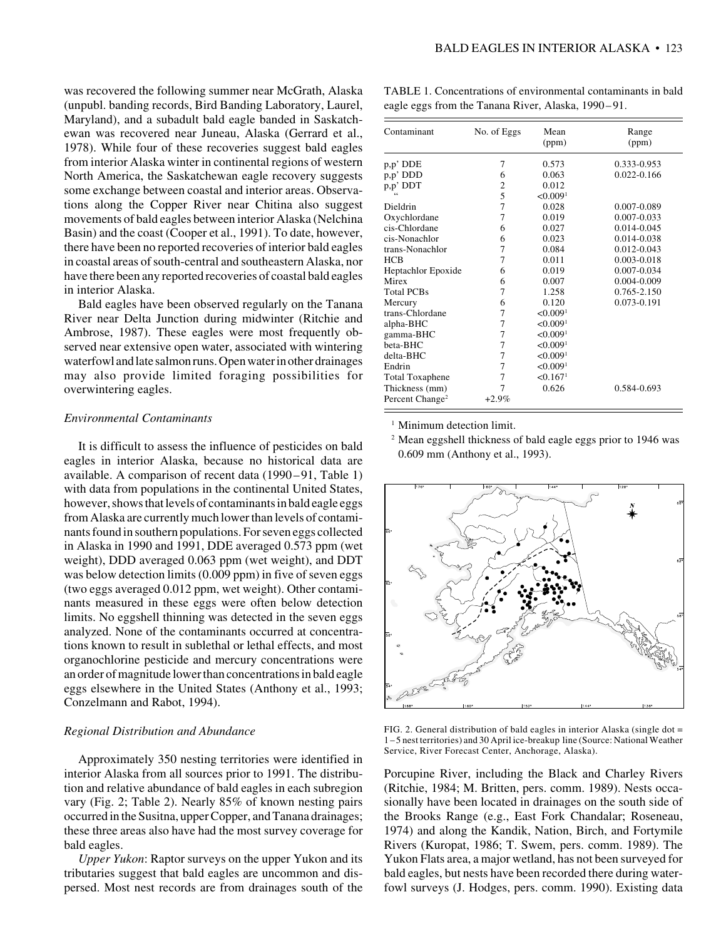was recovered the following summer near McGrath, Alaska (unpubl. banding records, Bird Banding Laboratory, Laurel, Maryland), and a subadult bald eagle banded in Saskatchewan was recovered near Juneau, Alaska (Gerrard et al., 1978). While four of these recoveries suggest bald eagles from interior Alaska winter in continental regions of western North America, the Saskatchewan eagle recovery suggests some exchange between coastal and interior areas. Observations along the Copper River near Chitina also suggest movements of bald eagles between interior Alaska (Nelchina Basin) and the coast (Cooper et al., 1991). To date, however, there have been no reported recoveries of interior bald eagles in coastal areas of south-central and southeastern Alaska, nor have there been any reported recoveries of coastal bald eagles in interior Alaska.

Bald eagles have been observed regularly on the Tanana River near Delta Junction during midwinter (Ritchie and Ambrose, 1987). These eagles were most frequently observed near extensive open water, associated with wintering waterfowl and late salmon runs. Open water in other drainages may also provide limited foraging possibilities for overwintering eagles.

#### *Environmental Contaminants*

It is difficult to assess the influence of pesticides on bald eagles in interior Alaska, because no historical data are available. A comparison of recent data (1990–91, Table 1) with data from populations in the continental United States, however, shows that levels of contaminants in bald eagle eggs from Alaska are currently much lower than levels of contaminants found in southern populations. For seven eggs collected in Alaska in 1990 and 1991, DDE averaged 0.573 ppm (wet weight), DDD averaged 0.063 ppm (wet weight), and DDT was below detection limits (0.009 ppm) in five of seven eggs (two eggs averaged 0.012 ppm, wet weight). Other contaminants measured in these eggs were often below detection limits. No eggshell thinning was detected in the seven eggs analyzed. None of the contaminants occurred at concentrations known to result in sublethal or lethal effects, and most organochlorine pesticide and mercury concentrations were an order of magnitude lower than concentrations in bald eagle eggs elsewhere in the United States (Anthony et al., 1993; Conzelmann and Rabot, 1994).

#### *Regional Distribution and Abundance*

Approximately 350 nesting territories were identified in interior Alaska from all sources prior to 1991. The distribution and relative abundance of bald eagles in each subregion vary (Fig. 2; Table 2). Nearly 85% of known nesting pairs occurred in the Susitna, upper Copper, and Tanana drainages; these three areas also have had the most survey coverage for bald eagles.

*Upper Yukon*: Raptor surveys on the upper Yukon and its tributaries suggest that bald eagles are uncommon and dispersed. Most nest records are from drainages south of the

TABLE 1. Concentrations of environmental contaminants in bald eagle eggs from the Tanana River, Alaska, 1990–91.

| Contaminant                 | No. of Eggs | Mean<br>(ppm)        | Range<br>(ppm)  |
|-----------------------------|-------------|----------------------|-----------------|
| $p, p'$ DDE                 | 7           | 0.573                | 0.333-0.953     |
| p,p' DDD                    | 6           | 0.063                | 0.022-0.166     |
| p,p' DDT                    | 2           | 0.012                |                 |
|                             | 5           | < 0.009 <sup>1</sup> |                 |
| Dieldrin                    | 7           | 0.028                | 0.007-0.089     |
| Oxychlordane                | 7           | 0.019                | 0.007-0.033     |
| cis-Chlordane               | 6           | 0.027                | 0.014-0.045     |
| cis-Nonachlor               | 6           | 0.023                | 0.014-0.038     |
| trans-Nonachlor             | 7           | 0.084                | 0.012-0.043     |
| <b>HCB</b>                  | 7           | 0.011                | $0.003 - 0.018$ |
| Heptachlor Epoxide          | 6           | 0.019                | 0.007-0.034     |
| Mirex                       | 6           | 0.007                | 0.004-0.009     |
| <b>Total PCBs</b>           | 7           | 1.258                | 0.765-2.150     |
| Mercury                     | 6           | 0.120                | 0.073-0.191     |
| trans-Chlordane             | 7           | < 0.009 <sup>1</sup> |                 |
| alpha-BHC                   | 7           | < 0.009 <sup>1</sup> |                 |
| gamma-BHC                   | 7           | < 0.009 <sup>1</sup> |                 |
| beta-BHC                    | 7           | < 0.009 <sup>1</sup> |                 |
| delta-BHC                   | 7           | < 0.009 <sup>1</sup> |                 |
| Endrin                      | 7           | < 0.009 <sup>1</sup> |                 |
| <b>Total Toxaphene</b>      | 7           | < 0.167 <sup>1</sup> |                 |
| Thickness (mm)              | 7           | 0.626                | 0.584-0.693     |
| Percent Change <sup>2</sup> | $+2.9\%$    |                      |                 |

<sup>1</sup> Minimum detection limit.

<sup>2</sup> Mean eggshell thickness of bald eagle eggs prior to 1946 was 0.609 mm (Anthony et al., 1993).



FIG. 2. General distribution of bald eagles in interior Alaska (single dot = 1–5 nest territories) and 30 April ice-breakup line (Source: National Weather Service, River Forecast Center, Anchorage, Alaska).

Porcupine River, including the Black and Charley Rivers (Ritchie, 1984; M. Britten, pers. comm. 1989). Nests occasionally have been located in drainages on the south side of the Brooks Range (e.g., East Fork Chandalar; Roseneau, 1974) and along the Kandik, Nation, Birch, and Fortymile Rivers (Kuropat, 1986; T. Swem, pers. comm. 1989). The Yukon Flats area, a major wetland, has not been surveyed for bald eagles, but nests have been recorded there during waterfowl surveys (J. Hodges, pers. comm. 1990). Existing data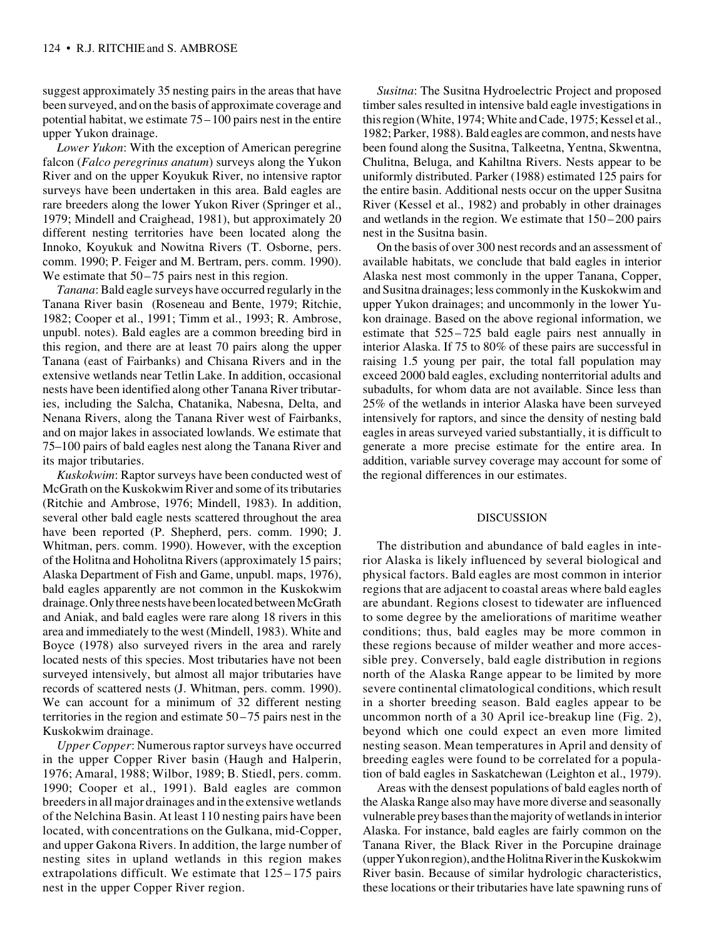suggest approximately 35 nesting pairs in the areas that have been surveyed, and on the basis of approximate coverage and potential habitat, we estimate 75–100 pairs nest in the entire upper Yukon drainage.

*Lower Yukon*: With the exception of American peregrine falcon (*Falco peregrinus anatum*) surveys along the Yukon River and on the upper Koyukuk River, no intensive raptor surveys have been undertaken in this area. Bald eagles are rare breeders along the lower Yukon River (Springer et al., 1979; Mindell and Craighead, 1981), but approximately 20 different nesting territories have been located along the Innoko, Koyukuk and Nowitna Rivers (T. Osborne, pers. comm. 1990; P. Feiger and M. Bertram, pers. comm. 1990). We estimate that  $50-75$  pairs nest in this region.

*Tanana*: Bald eagle surveys have occurred regularly in the Tanana River basin (Roseneau and Bente, 1979; Ritchie, 1982; Cooper et al., 1991; Timm et al., 1993; R. Ambrose, unpubl. notes). Bald eagles are a common breeding bird in this region, and there are at least 70 pairs along the upper Tanana (east of Fairbanks) and Chisana Rivers and in the extensive wetlands near Tetlin Lake. In addition, occasional nests have been identified along other Tanana River tributaries, including the Salcha, Chatanika, Nabesna, Delta, and Nenana Rivers, along the Tanana River west of Fairbanks, and on major lakes in associated lowlands. We estimate that 75–100 pairs of bald eagles nest along the Tanana River and its major tributaries.

*Kuskokwim*: Raptor surveys have been conducted west of McGrath on the Kuskokwim River and some of its tributaries (Ritchie and Ambrose, 1976; Mindell, 1983). In addition, several other bald eagle nests scattered throughout the area have been reported (P. Shepherd, pers. comm. 1990; J. Whitman, pers. comm. 1990). However, with the exception of the Holitna and Hoholitna Rivers (approximately 15 pairs; Alaska Department of Fish and Game, unpubl. maps, 1976), bald eagles apparently are not common in the Kuskokwim drainage. Only three nests have been located between McGrath and Aniak, and bald eagles were rare along 18 rivers in this area and immediately to the west (Mindell, 1983). White and Boyce (1978) also surveyed rivers in the area and rarely located nests of this species. Most tributaries have not been surveyed intensively, but almost all major tributaries have records of scattered nests (J. Whitman, pers. comm. 1990). We can account for a minimum of 32 different nesting territories in the region and estimate 50–75 pairs nest in the Kuskokwim drainage.

*Upper Copper*: Numerous raptor surveys have occurred in the upper Copper River basin (Haugh and Halperin, 1976; Amaral, 1988; Wilbor, 1989; B. Stiedl, pers. comm. 1990; Cooper et al., 1991). Bald eagles are common breeders in all major drainages and in the extensive wetlands of the Nelchina Basin. At least 110 nesting pairs have been located, with concentrations on the Gulkana, mid-Copper, and upper Gakona Rivers. In addition, the large number of nesting sites in upland wetlands in this region makes extrapolations difficult. We estimate that  $125 - 175$  pairs nest in the upper Copper River region.

*Susitna*: The Susitna Hydroelectric Project and proposed timber sales resulted in intensive bald eagle investigations in this region (White, 1974; White and Cade, 1975; Kessel et al., 1982; Parker, 1988). Bald eagles are common, and nests have been found along the Susitna, Talkeetna, Yentna, Skwentna, Chulitna, Beluga, and Kahiltna Rivers. Nests appear to be uniformly distributed. Parker (1988) estimated 125 pairs for the entire basin. Additional nests occur on the upper Susitna River (Kessel et al., 1982) and probably in other drainages and wetlands in the region. We estimate that 150–200 pairs nest in the Susitna basin.

On the basis of over 300 nest records and an assessment of available habitats, we conclude that bald eagles in interior Alaska nest most commonly in the upper Tanana, Copper, and Susitna drainages; less commonly in the Kuskokwim and upper Yukon drainages; and uncommonly in the lower Yukon drainage. Based on the above regional information, we estimate that 525–725 bald eagle pairs nest annually in interior Alaska. If 75 to 80% of these pairs are successful in raising 1.5 young per pair, the total fall population may exceed 2000 bald eagles, excluding nonterritorial adults and subadults, for whom data are not available. Since less than 25% of the wetlands in interior Alaska have been surveyed intensively for raptors, and since the density of nesting bald eagles in areas surveyed varied substantially, it is difficult to generate a more precise estimate for the entire area. In addition, variable survey coverage may account for some of the regional differences in our estimates.

### DISCUSSION

The distribution and abundance of bald eagles in interior Alaska is likely influenced by several biological and physical factors. Bald eagles are most common in interior regions that are adjacent to coastal areas where bald eagles are abundant. Regions closest to tidewater are influenced to some degree by the ameliorations of maritime weather conditions; thus, bald eagles may be more common in these regions because of milder weather and more accessible prey. Conversely, bald eagle distribution in regions north of the Alaska Range appear to be limited by more severe continental climatological conditions, which result in a shorter breeding season. Bald eagles appear to be uncommon north of a 30 April ice-breakup line (Fig. 2), beyond which one could expect an even more limited nesting season. Mean temperatures in April and density of breeding eagles were found to be correlated for a population of bald eagles in Saskatchewan (Leighton et al., 1979).

Areas with the densest populations of bald eagles north of the Alaska Range also may have more diverse and seasonally vulnerable prey bases than the majority of wetlands in interior Alaska. For instance, bald eagles are fairly common on the Tanana River, the Black River in the Porcupine drainage (upper Yukon region), and the Holitna River in the Kuskokwim River basin. Because of similar hydrologic characteristics, these locations or their tributaries have late spawning runs of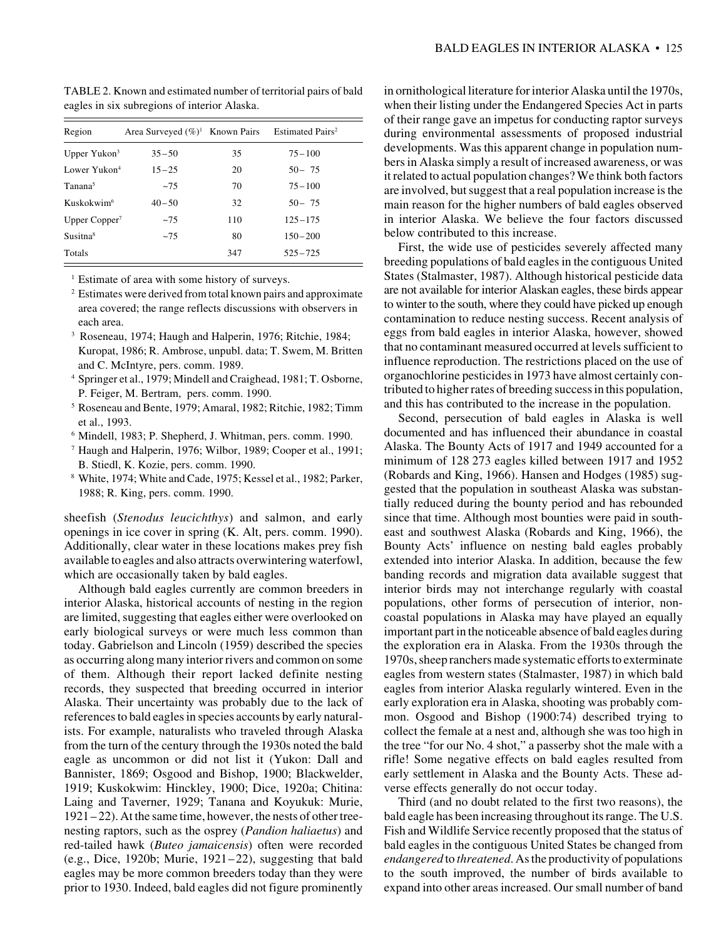| Region                   | Area Surveyed $(\%)^1$ Known Pairs |     | Estimated Pairs <sup>2</sup> |
|--------------------------|------------------------------------|-----|------------------------------|
| Upper Yukon <sup>3</sup> | $35 - 50$                          | 35  | $75 - 100$                   |
| Lower Yukon <sup>4</sup> | $15 - 25$                          | 20  | $50 - 75$                    |
| Tanana <sup>5</sup>      | $-7.5$                             | 70  | $75 - 100$                   |
| Kuskokwim <sup>6</sup>   | $40 - 50$                          | 32  | $50 - 75$                    |
| Upper $Copper^7$         | $-7.5$                             | 110 | $125 - 175$                  |
| Susitna <sup>8</sup>     | $-7.5$                             | 80  | $150 - 200$                  |
| Totals                   |                                    | 347 | $525 - 725$                  |

TABLE 2. Known and estimated number of territorial pairs of bald eagles in six subregions of interior Alaska.

<sup>1</sup> Estimate of area with some history of surveys.

- <sup>2</sup> Estimates were derived from total known pairs and approximate area covered; the range reflects discussions with observers in each area.
- 3 Roseneau, 1974; Haugh and Halperin, 1976; Ritchie, 1984; Kuropat, 1986; R. Ambrose, unpubl. data; T. Swem, M. Britten and C. McIntyre, pers. comm. 1989.
- <sup>4</sup> Springer et al., 1979; Mindell and Craighead, 1981; T. Osborne, P. Feiger, M. Bertram, pers. comm. 1990.
- <sup>5</sup> Roseneau and Bente, 1979; Amaral, 1982; Ritchie, 1982; Timm et al., 1993.
- <sup>6</sup> Mindell, 1983; P. Shepherd, J. Whitman, pers. comm. 1990.
- <sup>7</sup> Haugh and Halperin, 1976; Wilbor, 1989; Cooper et al., 1991; B. Stiedl, K. Kozie, pers. comm. 1990.
- <sup>8</sup> White, 1974; White and Cade, 1975; Kessel et al., 1982; Parker, 1988; R. King, pers. comm. 1990.

sheefish (*Stenodus leucichthys*) and salmon, and early openings in ice cover in spring (K. Alt, pers. comm. 1990). Additionally, clear water in these locations makes prey fish available to eagles and also attracts overwintering waterfowl, which are occasionally taken by bald eagles.

Although bald eagles currently are common breeders in interior Alaska, historical accounts of nesting in the region are limited, suggesting that eagles either were overlooked on early biological surveys or were much less common than today. Gabrielson and Lincoln (1959) described the species as occurring along many interior rivers and common on some of them. Although their report lacked definite nesting records, they suspected that breeding occurred in interior Alaska. Their uncertainty was probably due to the lack of references to bald eagles in species accounts by early naturalists. For example, naturalists who traveled through Alaska from the turn of the century through the 1930s noted the bald eagle as uncommon or did not list it (Yukon: Dall and Bannister, 1869; Osgood and Bishop, 1900; Blackwelder, 1919; Kuskokwim: Hinckley, 1900; Dice, 1920a; Chitina: Laing and Taverner, 1929; Tanana and Koyukuk: Murie, 1921– 22). At the same time, however, the nests of other treenesting raptors, such as the osprey (*Pandion haliaetus*) and red-tailed hawk (*Buteo jamaicensis*) often were recorded (e.g., Dice, 1920b; Murie, 1921–22), suggesting that bald eagles may be more common breeders today than they were prior to 1930. Indeed, bald eagles did not figure prominently

in ornithological literature for interior Alaska until the 1970s, when their listing under the Endangered Species Act in parts of their range gave an impetus for conducting raptor surveys during environmental assessments of proposed industrial developments. Was this apparent change in population numbers in Alaska simply a result of increased awareness, or was it related to actual population changes? We think both factors are involved, but suggest that a real population increase is the main reason for the higher numbers of bald eagles observed in interior Alaska. We believe the four factors discussed below contributed to this increase.

First, the wide use of pesticides severely affected many breeding populations of bald eagles in the contiguous United States (Stalmaster, 1987). Although historical pesticide data are not available for interior Alaskan eagles, these birds appear to winter to the south, where they could have picked up enough contamination to reduce nesting success. Recent analysis of eggs from bald eagles in interior Alaska, however, showed that no contaminant measured occurred at levels sufficient to influence reproduction. The restrictions placed on the use of organochlorine pesticides in 1973 have almost certainly contributed to higher rates of breeding success in this population, and this has contributed to the increase in the population.

Second, persecution of bald eagles in Alaska is well documented and has influenced their abundance in coastal Alaska. The Bounty Acts of 1917 and 1949 accounted for a minimum of 128 273 eagles killed between 1917 and 1952 (Robards and King, 1966). Hansen and Hodges (1985) suggested that the population in southeast Alaska was substantially reduced during the bounty period and has rebounded since that time. Although most bounties were paid in southeast and southwest Alaska (Robards and King, 1966), the Bounty Acts' influence on nesting bald eagles probably extended into interior Alaska. In addition, because the few banding records and migration data available suggest that interior birds may not interchange regularly with coastal populations, other forms of persecution of interior, noncoastal populations in Alaska may have played an equally important part in the noticeable absence of bald eagles during the exploration era in Alaska. From the 1930s through the 1970s, sheep ranchers made systematic efforts to exterminate eagles from western states (Stalmaster, 1987) in which bald eagles from interior Alaska regularly wintered. Even in the early exploration era in Alaska, shooting was probably common. Osgood and Bishop (1900:74) described trying to collect the female at a nest and, although she was too high in the tree "for our No. 4 shot," a passerby shot the male with a rifle! Some negative effects on bald eagles resulted from early settlement in Alaska and the Bounty Acts. These adverse effects generally do not occur today.

Third (and no doubt related to the first two reasons), the bald eagle has been increasing throughout its range. The U.S. Fish and Wildlife Service recently proposed that the status of bald eagles in the contiguous United States be changed from *endangered* to *threatened*. As the productivity of populations to the south improved, the number of birds available to expand into other areas increased. Our small number of band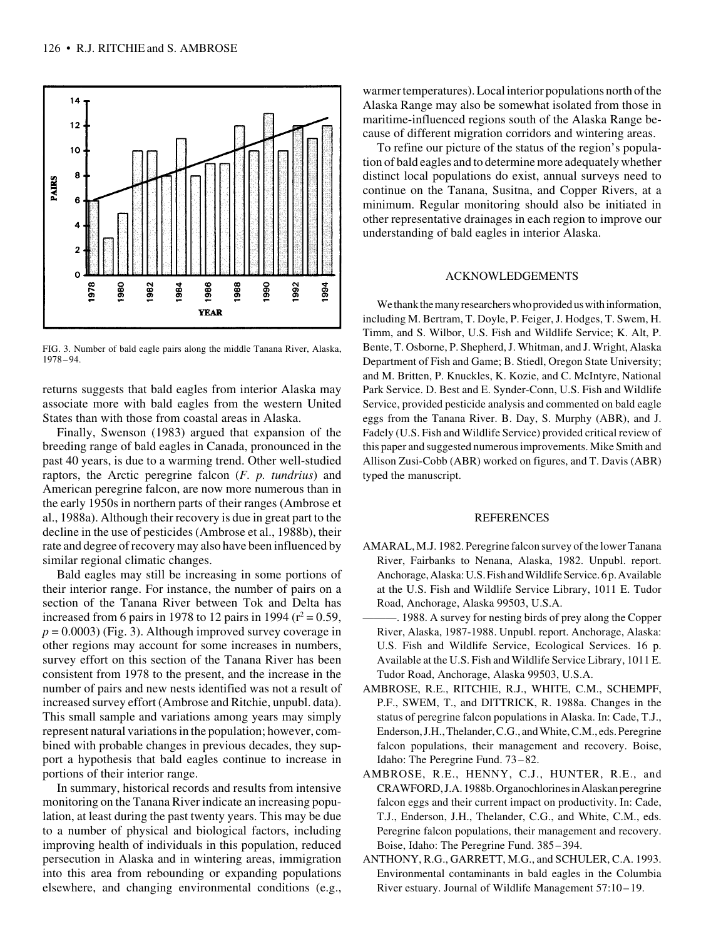

FIG. 3. Number of bald eagle pairs along the middle Tanana River, Alaska, 1978–94.

returns suggests that bald eagles from interior Alaska may associate more with bald eagles from the western United States than with those from coastal areas in Alaska.

Finally, Swenson (1983) argued that expansion of the breeding range of bald eagles in Canada, pronounced in the past 40 years, is due to a warming trend. Other well-studied raptors, the Arctic peregrine falcon (*F. p. tundrius*) and American peregrine falcon, are now more numerous than in the early 1950s in northern parts of their ranges (Ambrose et al., 1988a). Although their recovery is due in great part to the decline in the use of pesticides (Ambrose et al., 1988b), their rate and degree of recovery may also have been influenced by similar regional climatic changes.

Bald eagles may still be increasing in some portions of their interior range. For instance, the number of pairs on a section of the Tanana River between Tok and Delta has increased from 6 pairs in 1978 to 12 pairs in 1994 ( $r^2 = 0.59$ ,  $p = 0.0003$ ) (Fig. 3). Although improved survey coverage in other regions may account for some increases in numbers, survey effort on this section of the Tanana River has been consistent from 1978 to the present, and the increase in the number of pairs and new nests identified was not a result of increased survey effort (Ambrose and Ritchie, unpubl. data). This small sample and variations among years may simply represent natural variations in the population; however, combined with probable changes in previous decades, they support a hypothesis that bald eagles continue to increase in portions of their interior range.

In summary, historical records and results from intensive monitoring on the Tanana River indicate an increasing population, at least during the past twenty years. This may be due to a number of physical and biological factors, including improving health of individuals in this population, reduced persecution in Alaska and in wintering areas, immigration into this area from rebounding or expanding populations elsewhere, and changing environmental conditions (e.g.,

warmer temperatures). Local interior populations north of the Alaska Range may also be somewhat isolated from those in maritime-influenced regions south of the Alaska Range because of different migration corridors and wintering areas.

To refine our picture of the status of the region's population of bald eagles and to determine more adequately whether distinct local populations do exist, annual surveys need to continue on the Tanana, Susitna, and Copper Rivers, at a minimum. Regular monitoring should also be initiated in other representative drainages in each region to improve our understanding of bald eagles in interior Alaska.

# ACKNOWLEDGEMENTS

We thank the many researchers who provided us with information, including M. Bertram, T. Doyle, P. Feiger, J. Hodges, T. Swem, H. Timm, and S. Wilbor, U.S. Fish and Wildlife Service; K. Alt, P. Bente, T. Osborne, P. Shepherd, J. Whitman, and J. Wright, Alaska Department of Fish and Game; B. Stiedl, Oregon State University; and M. Britten, P. Knuckles, K. Kozie, and C. McIntyre, National Park Service. D. Best and E. Synder-Conn, U.S. Fish and Wildlife Service, provided pesticide analysis and commented on bald eagle eggs from the Tanana River. B. Day, S. Murphy (ABR), and J. Fadely (U.S. Fish and Wildlife Service) provided critical review of this paper and suggested numerous improvements. Mike Smith and Allison Zusi-Cobb (ABR) worked on figures, and T. Davis (ABR) typed the manuscript.

#### **REFERENCES**

- AMARAL, M.J. 1982. Peregrine falcon survey of the lower Tanana River, Fairbanks to Nenana, Alaska, 1982. Unpubl. report. Anchorage, Alaska: U.S. Fish and Wildlife Service. 6 p. Available at the U.S. Fish and Wildlife Service Library, 1011 E. Tudor Road, Anchorage, Alaska 99503, U.S.A.
- ———. 1988. A survey for nesting birds of prey along the Copper River, Alaska, 1987-1988. Unpubl. report. Anchorage, Alaska: U.S. Fish and Wildlife Service, Ecological Services. 16 p. Available at the U.S. Fish and Wildlife Service Library, 1011 E. Tudor Road, Anchorage, Alaska 99503, U.S.A.
- AMBROSE, R.E., RITCHIE, R.J., WHITE, C.M., SCHEMPF, P.F., SWEM, T., and DITTRICK, R. 1988a. Changes in the status of peregrine falcon populations in Alaska. In: Cade, T.J., Enderson, J.H., Thelander, C.G., and White, C.M., eds. Peregrine falcon populations, their management and recovery. Boise, Idaho: The Peregrine Fund. 73–82.
- AMBROSE, R.E., HENNY, C.J., HUNTER, R.E., and CRAWFORD, J.A. 1988b. Organochlorines in Alaskan peregrine falcon eggs and their current impact on productivity. In: Cade, T.J., Enderson, J.H., Thelander, C.G., and White, C.M., eds. Peregrine falcon populations, their management and recovery. Boise, Idaho: The Peregrine Fund. 385 –394.
- ANTHONY, R.G., GARRETT, M.G., and SCHULER, C.A. 1993. Environmental contaminants in bald eagles in the Columbia River estuary. Journal of Wildlife Management 57:10 – 19.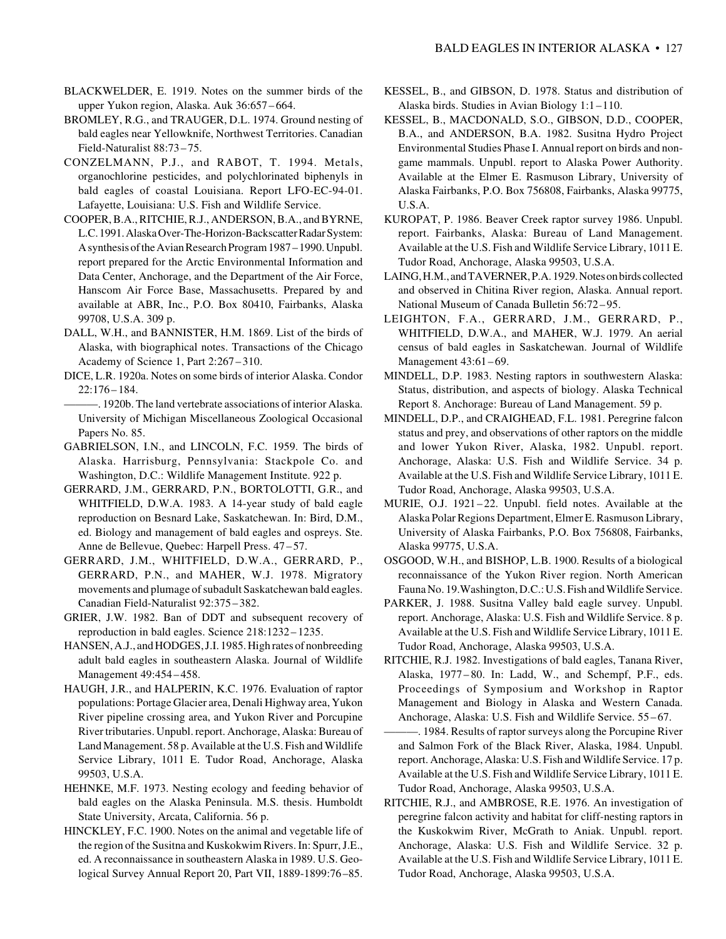- BLACKWELDER, E. 1919. Notes on the summer birds of the upper Yukon region, Alaska. Auk 36:657 – 664.
- BROMLEY, R.G., and TRAUGER, D.L. 1974. Ground nesting of bald eagles near Yellowknife, Northwest Territories. Canadian Field-Naturalist 88:73–75.
- CONZELMANN, P.J., and RABOT, T. 1994. Metals, organochlorine pesticides, and polychlorinated biphenyls in bald eagles of coastal Louisiana. Report LFO-EC-94-01. Lafayette, Louisiana: U.S. Fish and Wildlife Service.
- COOPER, B.A., RITCHIE, R.J., ANDERSON, B.A., and BYRNE, L.C. 1991. Alaska Over-The-Horizon-Backscatter Radar System: A synthesis of the Avian Research Program 1987–1990. Unpubl. report prepared for the Arctic Environmental Information and Data Center, Anchorage, and the Department of the Air Force, Hanscom Air Force Base, Massachusetts. Prepared by and available at ABR, Inc., P.O. Box 80410, Fairbanks, Alaska 99708, U.S.A. 309 p.
- DALL, W.H., and BANNISTER, H.M. 1869. List of the birds of Alaska, with biographical notes. Transactions of the Chicago Academy of Science 1, Part 2:267–310.
- DICE, L.R. 1920a. Notes on some birds of interior Alaska. Condor 22:176 – 184.

———. 1920b. The land vertebrate associations of interior Alaska. University of Michigan Miscellaneous Zoological Occasional Papers No. 85.

- GABRIELSON, I.N., and LINCOLN, F.C. 1959. The birds of Alaska. Harrisburg, Pennsylvania: Stackpole Co. and Washington, D.C.: Wildlife Management Institute. 922 p.
- GERRARD, J.M., GERRARD, P.N., BORTOLOTTI, G.R., and WHITFIELD, D.W.A. 1983. A 14-year study of bald eagle reproduction on Besnard Lake, Saskatchewan. In: Bird, D.M., ed. Biology and management of bald eagles and ospreys. Ste. Anne de Bellevue, Quebec: Harpell Press. 47 –57.
- GERRARD, J.M., WHITFIELD, D.W.A., GERRARD, P., GERRARD, P.N., and MAHER, W.J. 1978. Migratory movements and plumage of subadult Saskatchewan bald eagles. Canadian Field-Naturalist 92:375–382.
- GRIER, J.W. 1982. Ban of DDT and subsequent recovery of reproduction in bald eagles. Science 218:1232 – 1235.
- HANSEN, A.J., and HODGES, J.I. 1985. High rates of nonbreeding adult bald eagles in southeastern Alaska. Journal of Wildlife Management 49:454–458.
- HAUGH, J.R., and HALPERIN, K.C. 1976. Evaluation of raptor populations: Portage Glacier area, Denali Highway area, Yukon River pipeline crossing area, and Yukon River and Porcupine River tributaries. Unpubl. report. Anchorage, Alaska: Bureau of Land Management. 58 p. Available at the U.S. Fish and Wildlife Service Library, 1011 E. Tudor Road, Anchorage, Alaska 99503, U.S.A.
- HEHNKE, M.F. 1973. Nesting ecology and feeding behavior of bald eagles on the Alaska Peninsula. M.S. thesis. Humboldt State University, Arcata, California. 56 p.
- HINCKLEY, F.C. 1900. Notes on the animal and vegetable life of the region of the Susitna and Kuskokwim Rivers. In: Spurr, J.E., ed. A reconnaissance in southeastern Alaska in 1989. U.S. Geological Survey Annual Report 20, Part VII, 1889-1899:76 –85.
- KESSEL, B., and GIBSON, D. 1978. Status and distribution of Alaska birds. Studies in Avian Biology 1:1–110.
- KESSEL, B., MACDONALD, S.O., GIBSON, D.D., COOPER, B.A., and ANDERSON, B.A. 1982. Susitna Hydro Project Environmental Studies Phase I. Annual report on birds and nongame mammals. Unpubl. report to Alaska Power Authority. Available at the Elmer E. Rasmuson Library, University of Alaska Fairbanks, P.O. Box 756808, Fairbanks, Alaska 99775, U.S.A.
- KUROPAT, P. 1986. Beaver Creek raptor survey 1986. Unpubl. report. Fairbanks, Alaska: Bureau of Land Management. Available at the U.S. Fish and Wildlife Service Library, 1011 E. Tudor Road, Anchorage, Alaska 99503, U.S.A.
- LAING, H.M., and TAVERNER, P.A. 1929. Notes on birds collected and observed in Chitina River region, Alaska. Annual report. National Museum of Canada Bulletin 56:72 –95.
- LEIGHTON, F.A., GERRARD, J.M., GERRARD, P., WHITFIELD, D.W.A., and MAHER, W.J. 1979. An aerial census of bald eagles in Saskatchewan. Journal of Wildlife Management 43:61–69.
- MINDELL, D.P. 1983. Nesting raptors in southwestern Alaska: Status, distribution, and aspects of biology. Alaska Technical Report 8. Anchorage: Bureau of Land Management. 59 p.
- MINDELL, D.P., and CRAIGHEAD, F.L. 1981. Peregrine falcon status and prey, and observations of other raptors on the middle and lower Yukon River, Alaska, 1982. Unpubl. report. Anchorage, Alaska: U.S. Fish and Wildlife Service. 34 p. Available at the U.S. Fish and Wildlife Service Library, 1011 E. Tudor Road, Anchorage, Alaska 99503, U.S.A.
- MURIE, O.J. 1921–22. Unpubl. field notes. Available at the Alaska Polar Regions Department, Elmer E. Rasmuson Library, University of Alaska Fairbanks, P.O. Box 756808, Fairbanks, Alaska 99775, U.S.A.
- OSGOOD, W.H., and BISHOP, L.B. 1900. Results of a biological reconnaissance of the Yukon River region. North American Fauna No. 19.Washington, D.C.: U.S. Fish and Wildlife Service.
- PARKER, J. 1988. Susitna Valley bald eagle survey. Unpubl. report. Anchorage, Alaska: U.S. Fish and Wildlife Service. 8 p. Available at the U.S. Fish and Wildlife Service Library, 1011 E. Tudor Road, Anchorage, Alaska 99503, U.S.A.
- RITCHIE, R.J. 1982. Investigations of bald eagles, Tanana River, Alaska, 1977 – 80. In: Ladd, W., and Schempf, P.F., eds. Proceedings of Symposium and Workshop in Raptor Management and Biology in Alaska and Western Canada. Anchorage, Alaska: U.S. Fish and Wildlife Service. 55–67.
- ———. 1984. Results of raptor surveys along the Porcupine River and Salmon Fork of the Black River, Alaska, 1984. Unpubl. report. Anchorage, Alaska: U.S. Fish and Wildlife Service. 17 p. Available at the U.S. Fish and Wildlife Service Library, 1011 E. Tudor Road, Anchorage, Alaska 99503, U.S.A.
- RITCHIE, R.J., and AMBROSE, R.E. 1976. An investigation of peregrine falcon activity and habitat for cliff-nesting raptors in the Kuskokwim River, McGrath to Aniak. Unpubl. report. Anchorage, Alaska: U.S. Fish and Wildlife Service. 32 p. Available at the U.S. Fish and Wildlife Service Library, 1011 E. Tudor Road, Anchorage, Alaska 99503, U.S.A.